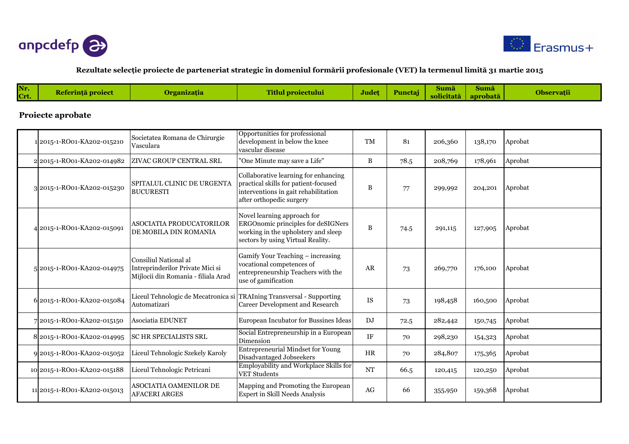



### **Rezultate selecţie proiecte de parteneriat strategic în domeniul formării profesionale (VET) la termenul limită 31 martie 2015**

|  | Nr.<br>Crt. | <b>Peferintă proiec</b> |  | Titlul proiectului | Judet | Punctai | Suma<br>.<br>solicitată | Suma<br>aprobată | Observatıı |
|--|-------------|-------------------------|--|--------------------|-------|---------|-------------------------|------------------|------------|
|--|-------------|-------------------------|--|--------------------|-------|---------|-------------------------|------------------|------------|

### **Proiecte aprobate**

| 12015-1-RO01-KA202-015210   | Societatea Romana de Chirurgie<br>Vasculara                                                      | Opportunities for professional<br>development in below the knee<br>vascular disease                                                                  | <b>TM</b> | 81   | 206,360 | 138,170 | Aprobat |
|-----------------------------|--------------------------------------------------------------------------------------------------|------------------------------------------------------------------------------------------------------------------------------------------------------|-----------|------|---------|---------|---------|
| 2 2015-1-RO01-KA202-014982  | ZIVAC GROUP CENTRAL SRL                                                                          | "One Minute may save a Life"                                                                                                                         | B         | 78.5 | 208,769 | 178,961 | Aprobat |
| 3 2015-1-RO01-KA202-015230  | SPITALUL CLINIC DE URGENTA<br><b>BUCURESTI</b>                                                   | Collaborative learning for enhancing<br>practical skills for patient-focused<br>interventions in gait rehabilitation<br>after orthopedic surgery     | B         | 77   | 299,992 | 204,201 | Aprobat |
| 4 2015-1-RO01-KA202-015091  | ASOCIATIA PRODUCATORILOR<br>DE MOBILA DIN ROMANIA                                                | Novel learning approach for<br><b>ERGOnomic principles for deSIGNers</b><br>working in the upholstery and sleep<br>sectors by using Virtual Reality. | B         | 74.5 | 291,115 | 127,905 | Aprobat |
| 5 2015-1-RO01-KA202-014975  | Consiliul National al<br>Intreprinderilor Private Mici si<br>Mijlocii din Romania - filiala Arad | Gamify Your Teaching - increasing<br>vocational competences of<br>entrepreneurship Teachers with the<br>use of gamification                          | AR        | 73   | 269,770 | 176,100 | Aprobat |
| 6 2015-1-RO01-KA202-015084  | Automatizari                                                                                     | Liceul Tehnologic de Mecatronica si TRAIning Transversal - Supporting<br>Career Development and Research                                             | <b>IS</b> | 73   | 198,458 | 160,500 | Aprobat |
| 7 2015-1-RO01-KA202-015150  | Asociatia EDUNET                                                                                 | European Incubator for Bussines Ideas                                                                                                                | DJ        | 72.5 | 282,442 | 150,745 | Aprobat |
| 8 2015-1-RO01-KA202-014995  | <b>SC HR SPECIALISTS SRL</b>                                                                     | Social Entrepreneurship in a European<br>Dimension                                                                                                   | <b>IF</b> | 70   | 298,230 | 154,323 | Aprobat |
| 9 2015-1-RO01-KA202-015052  | Liceul Tehnologic Szekely Karoly                                                                 | <b>Entrepreneurial Mindset for Young</b><br>Disadvantaged Jobseekers                                                                                 | <b>HR</b> | 70   | 284,807 | 175,365 | Aprobat |
| 10 2015-1-RO01-KA202-015188 | Liceul Tehnologic Petricani                                                                      | Employability and Workplace Skills for<br><b>VET Students</b>                                                                                        | <b>NT</b> | 66.5 | 120,415 | 120,250 | Aprobat |
| 11 2015-1-RO01-KA202-015013 | ASOCIATIA OAMENILOR DE<br><b>AFACERI ARGES</b>                                                   | Mapping and Promoting the European<br>Expert in Skill Needs Analysis                                                                                 | AG        | 66   | 355,950 | 159,368 | Aprobat |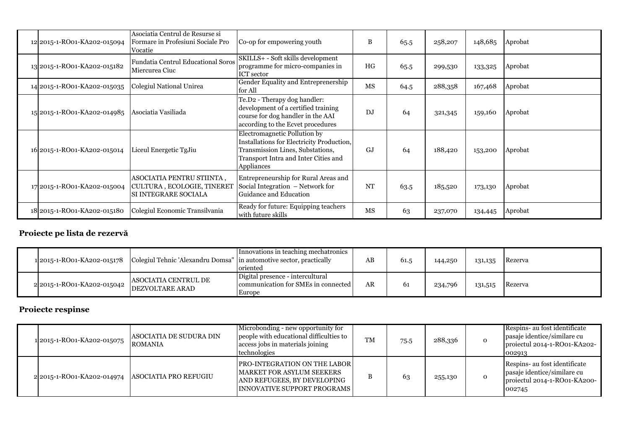| 12 2015-1-RO01-KA202-015094 | Asociatia Centrul de Resurse si<br>Formare in Profesiuni Sociale Pro<br>Vocatie | Co-op for empowering youth                                                                                                                                          | B              | 65.5 | 258,207 | 148,685 | Aprobat |
|-----------------------------|---------------------------------------------------------------------------------|---------------------------------------------------------------------------------------------------------------------------------------------------------------------|----------------|------|---------|---------|---------|
| 13 2015-1-RO01-KA202-015182 | <b>Fundatia Centrul Educational Soros</b><br>Miercurea Ciuc                     | SKILLS+ - Soft skills development<br>programme for micro-companies in<br>ICT sector                                                                                 | HG             | 65.5 | 299,530 | 133,325 | Aprobat |
| 14 2015-1-RO01-KA202-015035 | Colegiul National Unirea                                                        | Gender Equality and Entreprenership<br>for All                                                                                                                      | <b>MS</b>      | 64.5 | 288,358 | 167,468 | Aprobat |
| 15 2015-1-RO01-KA202-014985 | Asociatia Vasiliada                                                             | Te.D2 - Therapy dog handler:<br>development of a certified training<br>course for dog handler in the AAI<br>according to the Ecvet procedures                       | D <sub>J</sub> | 64   | 321,345 | 159,160 | Aprobat |
| 16 2015-1-RO01-KA202-015014 | Liceul Energetic TgJiu                                                          | Electromagnetic Pollution by<br>Installations for Electricity Production,<br>Transmission Lines, Substations,<br>Transport Intra and Inter Cities and<br>Appliances | GJ             | 64   | 188,420 | 153,200 | Aprobat |
| 17 2015-1-RO01-KA202-015004 | ASOCIATIA PENTRU STIINTA,<br>CULTURA, ECOLOGIE, TINERET<br>SI INTEGRARE SOCIALA | Entrepreneurship for Rural Areas and<br>Social Integration – Network for<br>Guidance and Education                                                                  | <b>NT</b>      | 63.5 | 185,520 | 173,130 | Aprobat |
| 18 2015-1-RO01-KA202-015180 | Colegiul Economic Transilvania                                                  | Ready for future: Equipping teachers<br>with future skills                                                                                                          | <b>MS</b>      | 63   | 237,070 | 134,445 | Aprobat |

# **Proiecte pe lista de rezervă**

|                                           | 1 2015-1-RO01-KA202-015178 Colegiul Tehnic 'Alexandru Domsa"  in automotive sector, practically | Innovations in teaching mechatronics<br>oriented                                  | AB | 61.5 | 144,250 | 131,135 | Rezerva |
|-------------------------------------------|-------------------------------------------------------------------------------------------------|-----------------------------------------------------------------------------------|----|------|---------|---------|---------|
| 22015-1-RO01-KA202-015042 DEZVOLTARE ARAD | <b>ASOCIATIA CENTRUL DE</b>                                                                     | Digital presence - intercultural<br>communication for SMEs in connected<br>Europe | AR | 61   | 234,796 | 131,515 | Rezerva |

# **Proiecte respinse**

| 1 2015-1-RO01-KA202-015075 | ASOCIATIA DE SUDURA DIN<br><b>ROMANIA</b> | Microbonding - new opportunity for<br>people with educational difficulties to<br>access jobs in materials joining<br>technologies            | TM | 75.5 | 288,336 | $\Omega$     | Respins- au fost identificate<br>pasaje identice/similare cu<br>projectul 2014-1-RO01-KA202-<br>002913 |
|----------------------------|-------------------------------------------|----------------------------------------------------------------------------------------------------------------------------------------------|----|------|---------|--------------|--------------------------------------------------------------------------------------------------------|
| 2 2015-1-RO01-KA202-014974 | ASOCIATIA PRO REFUGIU                     | <b>PRO-INTEGRATION ON THE LABOR</b><br><b>MARKET FOR ASYLUM SEEKERS</b><br>AND REFUGEES, BY DEVELOPING<br><b>INNOVATIVE SUPPORT PROGRAMS</b> |    | 63   | 255,130 | $\mathbf{O}$ | Respins- au fost identificate<br>pasaje identice/similare cu<br>projectul 2014-1-RO01-KA200-<br>002745 |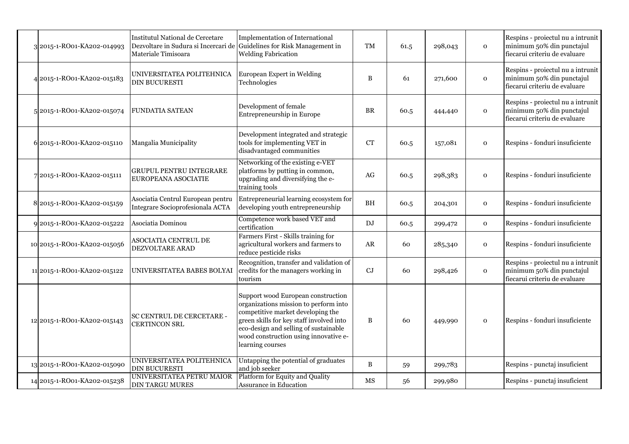| 3 2015-1-RO01-KA202-014993  | <b>Institutul National de Cercetare</b><br>Dezvoltare in Sudura si Incercari de Guidelines for Risk Management in<br>Materiale Timisoara | <b>Implementation of International</b><br><b>Welding Fabrication</b>                                                                                                                                                                                               | <b>TM</b>  | 61.5 | 298,043 | $\mathbf 0$  | Respins - proiectul nu a intrunit<br>minimum 50% din punctajul<br>fiecarui criteriu de evaluare |
|-----------------------------|------------------------------------------------------------------------------------------------------------------------------------------|--------------------------------------------------------------------------------------------------------------------------------------------------------------------------------------------------------------------------------------------------------------------|------------|------|---------|--------------|-------------------------------------------------------------------------------------------------|
| 42015-1-RO01-KA202-015183   | UNIVERSITATEA POLITEHNICA<br><b>DIN BUCURESTI</b>                                                                                        | European Expert in Welding<br>Technologies                                                                                                                                                                                                                         | B          | 61   | 271,600 | $\mathbf 0$  | Respins - proiectul nu a intrunit<br>minimum 50% din punctajul<br>fiecarui criteriu de evaluare |
| 5 2015-1-RO01-KA202-015074  | FUNDATIA SATEAN                                                                                                                          | Development of female<br>Entrepreneurship in Europe                                                                                                                                                                                                                | <b>BR</b>  | 60.5 | 444,440 | $\mathbf{O}$ | Respins - proiectul nu a intrunit<br>minimum 50% din punctajul<br>fiecarui criteriu de evaluare |
| 6 2015-1-RO01-KA202-015110  | Mangalia Municipality                                                                                                                    | Development integrated and strategic<br>tools for implementing VET in<br>disadvantaged communities                                                                                                                                                                 | CT         | 60.5 | 157,081 | $\mathbf 0$  | Respins - fonduri insuficiente                                                                  |
| 72015-1-RO01-KA202-015111   | <b>GRUPUL PENTRU INTEGRARE</b><br>EUROPEANA ASOCIATIE                                                                                    | Networking of the existing e-VET<br>platforms by putting in common,<br>upgrading and diversifying the e-<br>training tools                                                                                                                                         | AG         | 60.5 | 298,383 | $\mathbf 0$  | Respins - fonduri insuficiente                                                                  |
| 8 2015-1-RO01-KA202-015159  | Asociatia Centrul European pentru<br>Integrare Socioprofesionala ACTA                                                                    | Entrepreneurial learning ecosystem for<br>developing youth entrepreneurship                                                                                                                                                                                        | <b>BH</b>  | 60.5 | 204,301 | $\mathbf 0$  | Respins - fonduri insuficiente                                                                  |
| 92015-1-RO01-KA202-015222   | Asociatia Dominou                                                                                                                        | Competence work based VET and<br>certification                                                                                                                                                                                                                     | DJ         | 60.5 | 299,472 | $\mathbf 0$  | Respins - fonduri insuficiente                                                                  |
| 10 2015-1-RO01-KA202-015056 | ASOCIATIA CENTRUL DE<br>DEZVOLTARE ARAD                                                                                                  | Farmers First - Skills training for<br>agricultural workers and farmers to<br>reduce pesticide risks                                                                                                                                                               | ${\sf AR}$ | 60   | 285,340 | $\mathbf 0$  | Respins - fonduri insuficiente                                                                  |
| 11 2015-1-RO01-KA202-015122 | UNIVERSITATEA BABES BOLYAI                                                                                                               | Recognition, transfer and validation of<br>credits for the managers working in<br>tourism                                                                                                                                                                          | CJ         | 60   | 298,426 | $\mathbf{O}$ | Respins - proiectul nu a intrunit<br>minimum 50% din punctajul<br>fiecarui criteriu de evaluare |
| 12 2015-1-RO01-KA202-015143 | SC CENTRUL DE CERCETARE -<br><b>CERTINCON SRL</b>                                                                                        | Support wood European construction<br>organizations mission to perform into<br>competitive market developing the<br>green skills for key staff involved into<br>eco-design and selling of sustainable<br>wood construction using innovative e-<br>learning courses | B          | 60   | 449,990 | 0            | Respins - fonduri insuficiente                                                                  |
| 13 2015-1-RO01-KA202-015090 | UNIVERSITATEA POLITEHNICA<br><b>DIN BUCURESTI</b>                                                                                        | Untapping the potential of graduates<br>and job seeker                                                                                                                                                                                                             | B          | 59   | 299,783 |              | Respins - punctaj insuficient                                                                   |
| 14 2015-1-RO01-KA202-015238 | UNIVERSITATEA PETRU MAIOR<br><b>DIN TARGU MURES</b>                                                                                      | Platform for Equity and Quality<br>Assurance in Education                                                                                                                                                                                                          | MS         | 56   | 299,980 |              | Respins - punctaj insuficient                                                                   |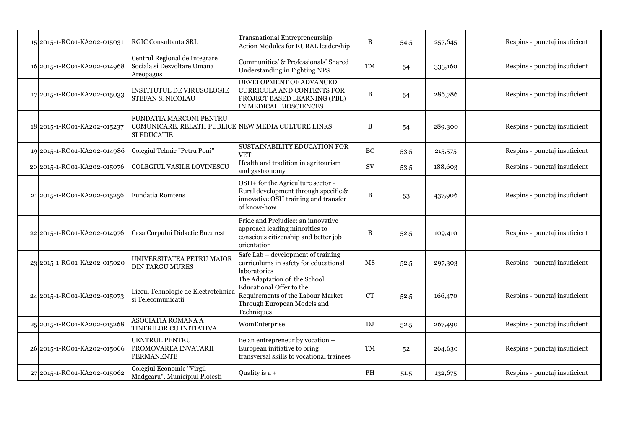| 15 2015-1-RO01-KA202-015031 | <b>RGIC Consultanta SRL</b>                                                                   | Transnational Entrepreneurship<br>Action Modules for RURAL leadership                                                                      | B         | 54.5 | 257,645 | Respins - punctaj insuficient |
|-----------------------------|-----------------------------------------------------------------------------------------------|--------------------------------------------------------------------------------------------------------------------------------------------|-----------|------|---------|-------------------------------|
| 16 2015-1-RO01-KA202-014968 | Centrul Regional de Integrare<br>Sociala si Dezvoltare Umana<br>Areopagus                     | Communities' & Professionals' Shared<br>Understanding in Fighting NPS                                                                      | TM        | 54   | 333,160 | Respins - punctaj insuficient |
| 17 2015-1-RO01-KA202-015033 | INSTITUTUL DE VIRUSOLOGIE<br><b>STEFAN S. NICOLAU</b>                                         | DEVELOPMENT OF ADVANCED<br><b>CURRICULA AND CONTENTS FOR</b><br>PROJECT BASED LEARNING (PBL)<br>IN MEDICAL BIOSCIENCES                     | B         | 54   | 286,786 | Respins - punctaj insuficient |
| 18 2015-1-RO01-KA202-015237 | FUNDATIA MARCONI PENTRU<br>COMUNICARE, RELATII PUBLICE NEW MEDIA CULTURE LINKS<br>SI EDUCATIE |                                                                                                                                            | B         | 54   | 289,300 | Respins - punctaj insuficient |
| 19 2015-1-RO01-KA202-014986 | Colegiul Tehnic "Petru Poni"                                                                  | <b>SUSTAINABILITY EDUCATION FOR</b><br>VET                                                                                                 | <b>BC</b> | 53.5 | 215,575 | Respins - punctaj insuficient |
| 20 2015-1-RO01-KA202-015076 | <b>COLEGIUL VASILE LOVINESCU</b>                                                              | Health and tradition in agritourism<br>and gastronomy                                                                                      | SV        | 53.5 | 188,603 | Respins - punctaj insuficient |
| 21 2015-1-RO01-KA202-015256 | Fundatia Romtens                                                                              | OSH+ for the Agriculture sector -<br>Rural development through specific &<br>innovative OSH training and transfer<br>of know-how           | B         | 53   | 437,906 | Respins - punctaj insuficient |
| 22 2015-1-RO01-KA202-014976 | Casa Corpului Didactic Bucuresti                                                              | Pride and Prejudice: an innovative<br>approach leading minorities to<br>conscious citizenship and better job<br>orientation                | B         | 52.5 | 109,410 | Respins - punctaj insuficient |
| 23 2015-1-RO01-KA202-015020 | UNIVERSITATEA PETRU MAIOR<br><b>DIN TARGU MURES</b>                                           | Safe Lab - development of training<br>curriculums in safety for educational<br>laboratories                                                | МS        | 52.5 | 297,303 | Respins - punctaj insuficient |
| 24 2015-1-RO01-KA202-015073 | Liceul Tehnologic de Electrotehnica<br>si Telecomunicatii                                     | The Adaptation of the School<br>Educational Offer to the<br>Requirements of the Labour Market<br>Through European Models and<br>Techniques | <b>CT</b> | 52.5 | 166,470 | Respins - punctaj insuficient |
| 25 2015-1-RO01-KA202-015268 | ASOCIATIA ROMANA A<br>TINERILOR CU INITIATIVA                                                 | WomEnterprise                                                                                                                              | DJ        | 52.5 | 267,490 | Respins - punctaj insuficient |
| 26 2015-1-RO01-KA202-015066 | CENTRUL PENTRU<br>PROMOVAREA INVATARII<br><b>PERMANENTE</b>                                   | Be an entrepreneur by vocation -<br>European initiative to bring<br>transversal skills to vocational trainees                              | <b>TM</b> | 52   | 264,630 | Respins - punctaj insuficient |
| 27 2015-1-RO01-KA202-015062 | Colegiul Economic "Virgil<br>Madgearu", Municipiul Ploiesti                                   | Quality is a +                                                                                                                             | PH        | 51.5 | 132,675 | Respins - punctaj insuficient |